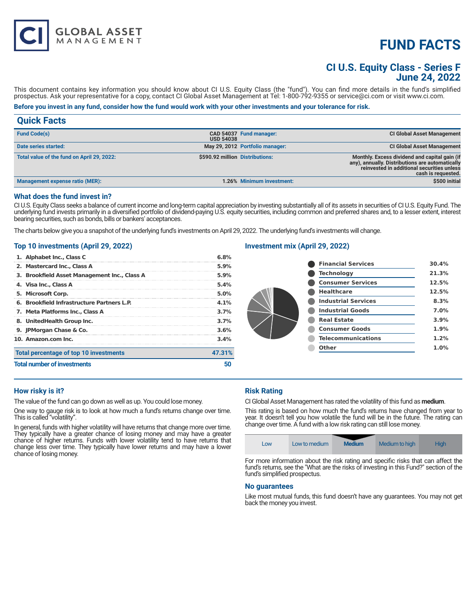# **FUND FACTS**

# **CI U.S. Equity Class - Series F June 24, 2022**

This document contains key information you should know about CI U.S. Equity Class (the "fund"). You can find more details in the fund's simplified prospectus. Ask your representative for a copy, contact CI Global Asset Management at Tel: 1-800-792-9355 or service@ci.com or visit www.ci.com.

# **Before you invest in any fund, consider how the fund would work with your other investments and your tolerance for risk.**

# **Quick Facts**

| May 29, 2012 Portfolio manager:<br>Date series started:<br>\$590.92 million Distributions:<br>Total value of the fund on April 29, 2022: | <b>Fund Code(s)</b> | <b>USD 54038</b> | CAD 54037 Fund manager: | <b>CI Global Asset Management</b>                                                                                                                                    |
|------------------------------------------------------------------------------------------------------------------------------------------|---------------------|------------------|-------------------------|----------------------------------------------------------------------------------------------------------------------------------------------------------------------|
|                                                                                                                                          |                     |                  |                         | <b>CI Global Asset Management</b>                                                                                                                                    |
|                                                                                                                                          |                     |                  |                         | Monthly. Excess dividend and capital gain (if<br>any), annually. Distributions are automatically<br>reinvested in additional securities unless<br>cash is requested. |
| 1.26% Minimum investment:<br>Management expense ratio (MER):                                                                             |                     |                  |                         | \$500 initial                                                                                                                                                        |

### **What does the fund invest in?**

CI U.S. Equity Class seeks a balance of current income and long-term capital appreciation by investing substantially all of its assets in securities of CI U.S. Equity Fund. The underlying fund invests primarily in a diversified portfolio of dividend-paying U.S. equity securities, including common and preferred shares and, to a lesser extent, interest bearing securities, such as bonds, bills or bankers' acceptances.

The charts below give you a snapshot of the underlying fund's investments on April 29, 2022. The underlying fund's investments will change.

#### **Top 10 investments (April 29, 2022)**

**GLOBAL ASSET**<br>MANAGEMENT

| 1. Alphabet Inc., Class C                    | 6.8%                 |  |
|----------------------------------------------|----------------------|--|
| 2. Mastercard Inc., Class A                  | 5.9%                 |  |
| 3. Brookfield Asset Management Inc., Class A | 5.9%                 |  |
| 4. Visa Inc., Class A                        | 5.4%                 |  |
| 5. Microsoft Corp.                           | 5.0%                 |  |
| 6. Brookfield Infrastructure Partners L.P.   | 4.1%                 |  |
| 7. Meta Platforms Inc., Class A              | 3.7%<br>3.7%<br>3.6% |  |
| 8. UnitedHealth Group Inc.                   |                      |  |
| 9. JPMorgan Chase & Co.                      |                      |  |
| 10. Amazon.com Inc.                          | 3.4%                 |  |
| Total percentage of top 10 investments       | 47.31%               |  |
| <b>Total number of investments</b>           |                      |  |

### **Investment mix (April 29, 2022)**

| <b>Financial Services</b>  | 30.4% |
|----------------------------|-------|
| <b>Technology</b>          | 21.3% |
| <b>Consumer Services</b>   | 12.5% |
| <b>Healthcare</b>          | 12.5% |
| <b>Industrial Services</b> | 8.3%  |
| <b>Industrial Goods</b>    | 7.0%  |
| <b>Real Estate</b>         | 3.9%  |
| <b>Consumer Goods</b>      | 1.9%  |
| <b>Telecommunications</b>  | 1.2%  |
| <b>Other</b>               | 1.0%  |
|                            |       |

#### **How risky is it?**

The value of the fund can go down as well as up. You could lose money.

One way to gauge risk is to look at how much a fund's returns change over time. This is called "volatility".

In general, funds with higher volatility will have returns that change more over time. They typically have a greater chance of losing money and may have a greater chance of higher returns. Funds with lower volatility tend to have returns that change less over time. They typically have lower returns and may have a lower chance of losing money.

#### **Risk Rating**

CI Global Asset Management has rated the volatility of this fund as **medium**.

This rating is based on how much the fund's returns have changed from year to year. It doesn't tell you how volatile the fund will be in the future. The rating can change over time. A fund with a low risk rating can still lose money.

| Low | Low to medium | <b>Medium</b> | Medium to high | <b>High</b> |
|-----|---------------|---------------|----------------|-------------|
|-----|---------------|---------------|----------------|-------------|

For more information about the risk rating and specific risks that can affect the fund's returns, see the "What are the risks of investing in this Fund?" section of the fund's simplified prospectus.

#### **No guarantees**

Like most mutual funds, this fund doesn't have any guarantees. You may not get back the money you invest.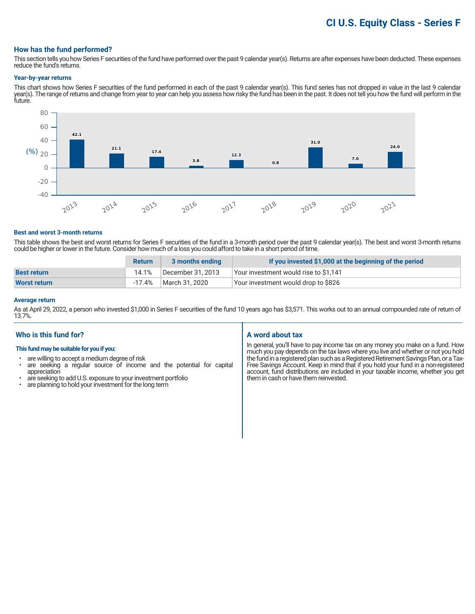# **CI U.S. Equity Class - Series F**

#### **How has the fund performed?**

This section tells you how Series F securities of the fund have performed over the past 9 calendar year(s). Returns are after expenses have been deducted. These expenses reduce the fund's returns.

#### **Year-by-year returns**

This chart shows how Series F securities of the fund performed in each of the past 9 calendar year(s). This fund series has not dropped in value in the last 9 calendar year(s). The range of returns and change from year to year can help you assess how risky the fund has been in the past. It does not tell you how the fund will perform in the future.



#### **Best and worst 3-month returns**

This table shows the best and worst returns for Series F securities of the fund in a 3-month period over the past 9 calendar year(s). The best and worst 3-month returns could be higher or lower in the future. Consider how much of a loss you could afford to take in a short period of time.

|                    | <b>Return</b> | 3 months ending   | If you invested \$1,000 at the beginning of the period |
|--------------------|---------------|-------------------|--------------------------------------------------------|
| <b>Best return</b> | 14.1%         | December 31, 2013 | Your investment would rise to \$1,141                  |
| Worst return       | -17.4%        | March 31, 2020    | Your investment would drop to \$826                    |

#### **Average return**

As at April 29, 2022, a person who invested \$1,000 in Series F securities of the fund 10 years ago has \$3,571. This works out to an annual compounded rate of return of 13.7%.

## **Who is this fund for?**

#### **This fund may be suitable for you if you:**

- are willing to accept a medium degree of risk
- are seeking a regular source of income and the potential for capital appreciation
- are seeking to add U.S. exposure to your investment portfolio<br>• are planning to hold your investment for the long term
- are planning to hold your investment for the long term

#### **A word about tax**

In general, you'll have to pay income tax on any money you make on a fund. How much you pay depends on the tax laws where you live and whether or not you hold the fund in a registered plan such as a Registered Retirement Savings Plan, or a Tax-Free Savings Account. Keep in mind that if you hold your fund in a non-registered account, fund distributions are included in your taxable income, whether you get them in cash or have them reinvested.